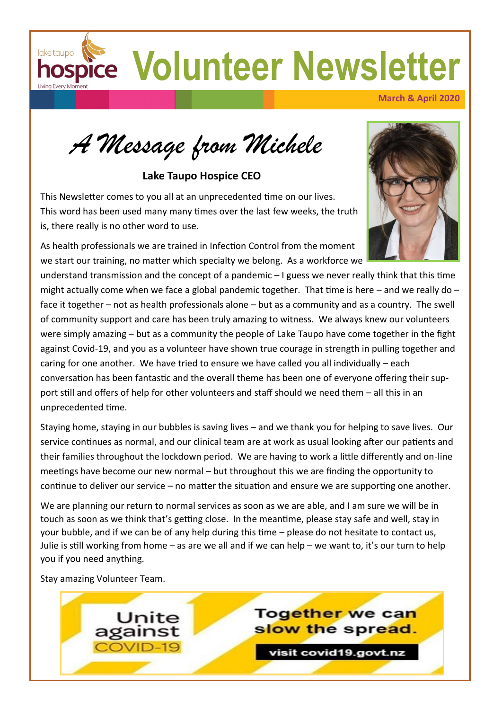**hospice Volunteer Newsletter** 

**March & April 2020**

*A Message from Michele*

**Lake Taupo Hospice CEO**

This Newsletter comes to you all at an unprecedented time on our lives. This word has been used many many times over the last few weeks, the truth is, there really is no other word to use.

As health professionals we are trained in Infection Control from the moment we start our training, no matter which specialty we belong. As a workforce we

understand transmission and the concept of a pandemic – I guess we never really think that this time might actually come when we face a global pandemic together. That time is here – and we really do – face it together – not as health professionals alone – but as a community and as a country. The swell of community support and care has been truly amazing to witness. We always knew our volunteers were simply amazing – but as a community the people of Lake Taupo have come together in the fight against Covid-19, and you as a volunteer have shown true courage in strength in pulling together and caring for one another. We have tried to ensure we have called you all individually – each conversation has been fantastic and the overall theme has been one of everyone offering their support still and offers of help for other volunteers and staff should we need them – all this in an unprecedented time.

Staying home, staying in our bubbles is saving lives – and we thank you for helping to save lives. Our service continues as normal, and our clinical team are at work as usual looking after our patients and their families throughout the lockdown period. We are having to work a little differently and on-line meetings have become our new normal – but throughout this we are finding the opportunity to continue to deliver our service – no matter the situation and ensure we are supporting one another.

We are planning our return to normal services as soon as we are able, and I am sure we will be in touch as soon as we think that's getting close. In the meantime, please stay safe and well, stay in your bubble, and if we can be of any help during this time – please do not hesitate to contact us, Julie is still working from home – as are we all and if we can help – we want to, it's our turn to help you if you need anything.

Stay amazing Volunteer Team.

lake taupo



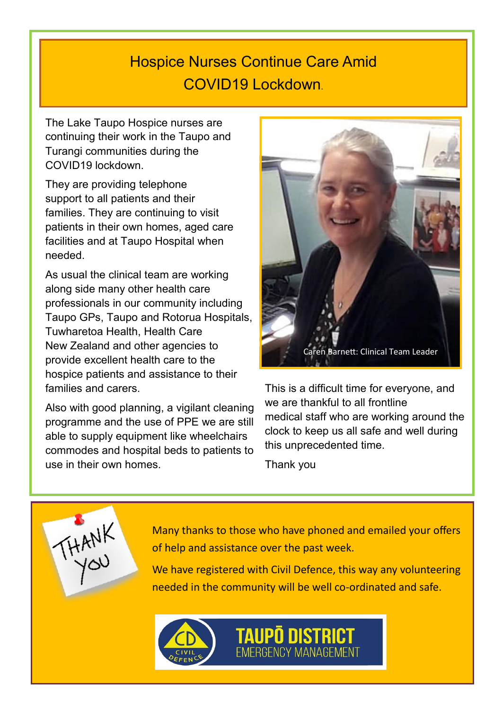# Hospice Nurses Continue Care Amid COVID19 Lockdown.

The Lake Taupo Hospice nurses are continuing their work in the Taupo and Turangi communities during the COVID19 lockdown.

They are providing telephone support to all patients and their families. They are continuing to visit patients in their own homes, aged care facilities and at Taupo Hospital when needed.

As usual the clinical team are working along side many other health care professionals in our community including Taupo GPs, Taupo and Rotorua Hospitals, Tuwharetoa Health, Health Care New Zealand and other agencies to provide excellent health care to the hospice patients and assistance to their families and carers.

Also with good planning, a vigilant cleaning programme and the use of PPE we are still able to supply equipment like wheelchairs commodes and hospital beds to patients to use in their own homes.

THANK



This is a difficult time for everyone, and we are thankful to all frontline medical staff who are working around the clock to keep us all safe and well during this unprecedented time.

Thank you

Many thanks to those who have phoned and emailed your offers of help and assistance over the past week.

We have registered with Civil Defence, this way any volunteering needed in the community will be well co-ordinated and safe.

**TAUPO DISTRICT**<br>EMERGENCY MANAGEMENT

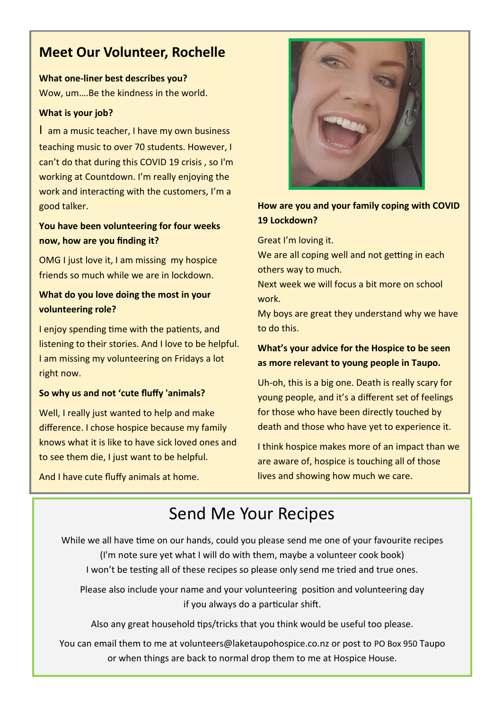# **Meet Our Volunteer, Rochelle**

**What one-liner best describes you?** Wow, um….Be the kindness in the world.

#### **What is your job?**

I am a music teacher, I have my own business teaching music to over 70 students. However, I can't do that during this COVID 19 crisis , so I'm working at Countdown. I'm really enjoying the work and interacting with the customers, I'm a good talker.

### **You have been volunteering for four weeks now, how are you finding it?**

OMG I just love it, I am missing my hospice friends so much while we are in lockdown.

## **What do you love doing the most in your volunteering role?**

I enjoy spending time with the patients, and listening to their stories. And I love to be helpful. I am missing my volunteering on Fridays a lot right now.

#### **So why us and not 'cute fluffy 'animals?**

Well, I really just wanted to help and make difference. I chose hospice because my family knows what it is like to have sick loved ones and to see them die, I just want to be helpful.

And I have cute fluffy animals at home.



### **How are you and your family coping with COVID 19 Lockdown?**

Great I'm loving it.

We are all coping well and not getting in each others way to much.

Next week we will focus a bit more on school work.

My boys are great they understand why we have to do this.

### **What's your advice for the Hospice to be seen as more relevant to young people in Taupo.**

Uh-oh, this is a big one. Death is really scary for young people, and it's a different set of feelings for those who have been directly touched by death and those who have yet to experience it.

I think hospice makes more of an impact than we are aware of, hospice is touching all of those lives and showing how much we care.

# Send Me Your Recipes

While we all have time on our hands, could you please send me one of your favourite recipes (I'm note sure yet what I will do with them, maybe a volunteer cook book) I won't be testing all of these recipes so please only send me tried and true ones.

Please also include your name and your volunteering position and volunteering day if you always do a particular shift.

Also any great household tips/tricks that you think would be useful too please.

You can email them to me at volunteers@laketaupohospice.co.nz or post to PO Box 950 Taupo or when things are back to normal drop them to me at Hospice House.